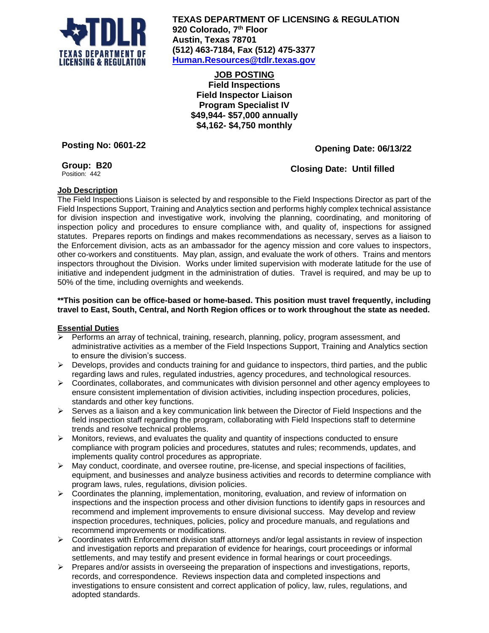

**TEXAS DEPARTMENT OF LICENSING & REGULATION 920 Colorado, 7 th Floor Austin, Texas 78701 (512) 463-7184, Fax (512) 475-3377 [Human.Resources@tdlr.texas.gov](mailto:Human.Resources@tdlr.texas.gov)**

**JOB POSTING Field Inspections Field Inspector Liaison Program Specialist IV \$49,944- \$57,000 annually \$4,162- \$4,750 monthly**

**Posting No: 0601-22**

## **Opening Date: 06/13/22**

## **Group: B20**

Position: 442

## **Closing Date: Until filled**

# **Job Description**

The Field Inspections Liaison is selected by and responsible to the Field Inspections Director as part of the Field Inspections Support, Training and Analytics section and performs highly complex technical assistance for division inspection and investigative work, involving the planning, coordinating, and monitoring of inspection policy and procedures to ensure compliance with, and quality of, inspections for assigned statutes. Prepares reports on findings and makes recommendations as necessary, serves as a liaison to the Enforcement division, acts as an ambassador for the agency mission and core values to inspectors, other co-workers and constituents. May plan, assign, and evaluate the work of others. Trains and mentors inspectors throughout the Division. Works under limited supervision with moderate latitude for the use of initiative and independent judgment in the administration of duties. Travel is required, and may be up to 50% of the time, including overnights and weekends.

#### **\*\*This position can be office-based or home-based. This position must travel frequently, including travel to East, South, Central, and North Region offices or to work throughout the state as needed.**

### **Essential Duties**

- ➢ Performs an array of technical, training, research, planning, policy, program assessment, and administrative activities as a member of the Field Inspections Support, Training and Analytics section to ensure the division's success.
- $\triangleright$  Develops, provides and conducts training for and guidance to inspectors, third parties, and the public regarding laws and rules, regulated industries, agency procedures, and technological resources.
- $\triangleright$  Coordinates, collaborates, and communicates with division personnel and other agency employees to ensure consistent implementation of division activities, including inspection procedures, policies, standards and other key functions.
- $\triangleright$  Serves as a liaison and a key communication link between the Director of Field Inspections and the field inspection staff regarding the program, collaborating with Field Inspections staff to determine trends and resolve technical problems.
- $\triangleright$  Monitors, reviews, and evaluates the quality and quantity of inspections conducted to ensure compliance with program policies and procedures, statutes and rules; recommends, updates, and implements quality control procedures as appropriate.
- $\triangleright$  May conduct, coordinate, and oversee routine, pre-license, and special inspections of facilities, equipment, and businesses and analyze business activities and records to determine compliance with program laws, rules, regulations, division policies.
- $\triangleright$  Coordinates the planning, implementation, monitoring, evaluation, and review of information on inspections and the inspection process and other division functions to identify gaps in resources and recommend and implement improvements to ensure divisional success. May develop and review inspection procedures, techniques, policies, policy and procedure manuals, and regulations and recommend improvements or modifications.
- $\triangleright$  Coordinates with Enforcement division staff attorneys and/or legal assistants in review of inspection and investigation reports and preparation of evidence for hearings, court proceedings or informal settlements, and may testify and present evidence in formal hearings or court proceedings.
- ➢ Prepares and/or assists in overseeing the preparation of inspections and investigations, reports, records, and correspondence. Reviews inspection data and completed inspections and investigations to ensure consistent and correct application of policy, law, rules, regulations, and adopted standards.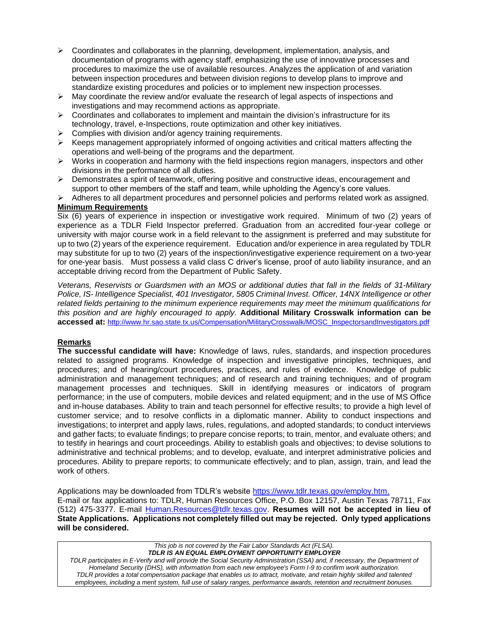- $\triangleright$  Coordinates and collaborates in the planning, development, implementation, analysis, and documentation of programs with agency staff, emphasizing the use of innovative processes and procedures to maximize the use of available resources. Analyzes the application of and variation between inspection procedures and between division regions to develop plans to improve and standardize existing procedures and policies or to implement new inspection processes.
- $\triangleright$  May coordinate the review and/or evaluate the research of legal aspects of inspections and investigations and may recommend actions as appropriate.
- $\triangleright$  Coordinates and collaborates to implement and maintain the division's infrastructure for its technology, travel, e-Inspections, route optimization and other key initiatives.
- $\triangleright$  Complies with division and/or agency training requirements.
- $\triangleright$  Keeps management appropriately informed of ongoing activities and critical matters affecting the operations and well-being of the programs and the department.
- ➢ Works in cooperation and harmony with the field inspections region managers, inspectors and other divisions in the performance of all duties.
- $\triangleright$  Demonstrates a spirit of teamwork, offering positive and constructive ideas, encouragement and support to other members of the staff and team, while upholding the Agency's core values.
- ➢ Adheres to all department procedures and personnel policies and performs related work as assigned.

### **Minimum Requirements**

Six (6) years of experience in inspection or investigative work required. Minimum of two (2) years of experience as a TDLR Field Inspector preferred. Graduation from an accredited four-year college or university with major course work in a field relevant to the assignment is preferred and may substitute for up to two (2) years of the experience requirement. Education and/or experience in area regulated by TDLR may substitute for up to two (2) years of the inspection/investigative experience requirement on a two-year for one-year basis. Must possess a valid class C driver's license, proof of auto liability insurance, and an acceptable driving record from the Department of Public Safety.

*Veterans, Reservists or Guardsmen with an MOS or additional duties that fall in the fields of 31-Military Police, IS- Intelligence Specialist, 401 Investigator, 5805 Criminal Invest. Officer, 14NX Intelligence or other related fields pertaining to the minimum experience requirements may meet the minimum qualifications for this position and are highly encouraged to apply.* **Additional Military Crosswalk information can be accessed at:** [http://www.hr.sao.state.tx.us/Compensation/MilitaryCrosswalk/MOSC\\_InspectorsandInvestigators.pdf](http://www.hr.sao.state.tx.us/Compensation/MilitaryCrosswalk/MOSC_InspectorsandInvestigators.pdf)

#### **Remarks**

**The successful candidate will have:** Knowledge of laws, rules, standards, and inspection procedures related to assigned programs. Knowledge of inspection and investigative principles, techniques, and procedures; and of hearing/court procedures, practices, and rules of evidence. Knowledge of public administration and management techniques; and of research and training techniques; and of program management processes and techniques. Skill in identifying measures or indicators of program performance; in the use of computers, mobile devices and related equipment; and in the use of MS Office and in-house databases. Ability to train and teach personnel for effective results; to provide a high level of customer service; and to resolve conflicts in a diplomatic manner. Ability to conduct inspections and investigations; to interpret and apply laws, rules, regulations, and adopted standards; to conduct interviews and gather facts; to evaluate findings; to prepare concise reports; to train, mentor, and evaluate others; and to testify in hearings and court proceedings. Ability to establish goals and objectives; to devise solutions to administrative and technical problems; and to develop, evaluate, and interpret administrative policies and procedures. Ability to prepare reports; to communicate effectively; and to plan, assign, train, and lead the work of others.

Applications may be downloaded from TDLR's website [https://www.tdlr.texas.gov/employ.htm.](https://www.tdlr.texas.gov/employ.htm) E-mail or fax applications to: TDLR, Human Resources Office, P.O. Box 12157, Austin Texas 78711, Fax (512) 475-3377. E-mail [Human.Resources@tdlr.texas.gov.](mailto:Human.Resources@tdlr.texas.gov) **Resumes will not be accepted in lieu of State Applications. Applications not completely filled out may be rejected. Only typed applications will be considered.**

*This job is not covered by the Fair Labor Standards Act (FLSA). TDLR IS AN EQUAL EMPLOYMENT OPPORTUNITY EMPLOYER TDLR participates in E-Verify and will provide the Social Security Administration (SSA) and, if necessary, the Department of Homeland Security (DHS), with information from each new employee's Form I-9 to confirm work authorization. TDLR provides a total compensation package that enables us to attract, motivate, and retain highly skilled and talented employees, including a merit system, full use of salary ranges, performance awards, retention and recruitment bonuses.*